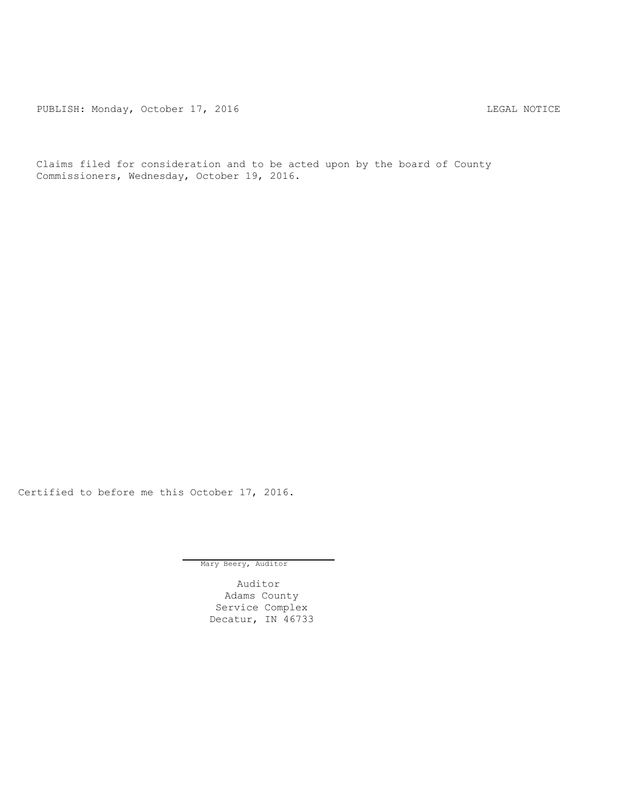PUBLISH: Monday, October 17, 2016 CHA CHANGE CONSTRUCTED AND THE LEGAL NOTICE

Claims filed for consideration and to be acted upon by the board of County Commissioners, Wednesday, October 19, 2016.

Certified to before me this October 17, 2016.

Mary Beery, Auditor

Auditor Adams County Service Complex Decatur, IN 46733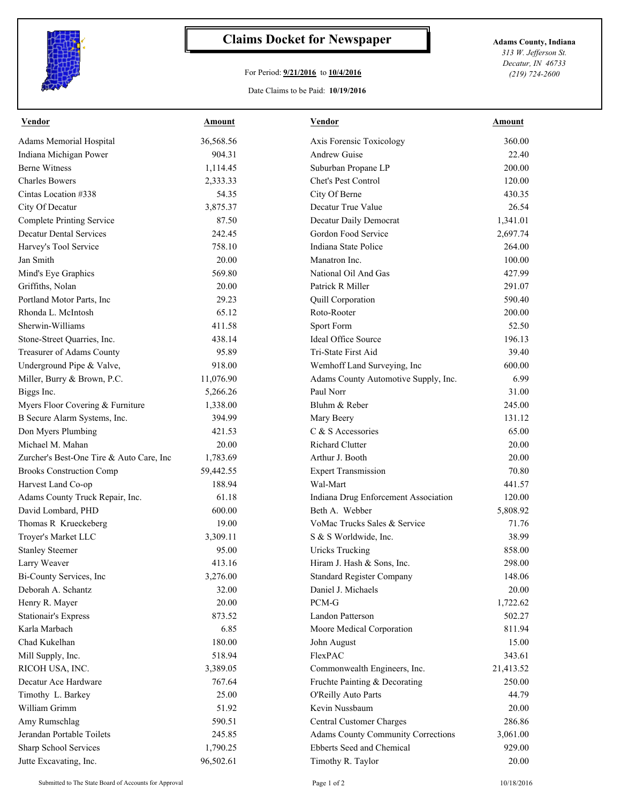

## **Claims Docket for Newspaper Adams County, Indiana**

## For Period: **9/21/2016** to **10/4/2016**

Date Claims to be Paid: **10/19/2016**

*313 W. Jefferson St. Decatur, IN 46733 (219) 724-2600*

| Vendor                                   | <b>Amount</b> | Vendor                                    | Amount    |
|------------------------------------------|---------------|-------------------------------------------|-----------|
| Adams Memorial Hospital                  | 36,568.56     | Axis Forensic Toxicology                  | 360.00    |
| Indiana Michigan Power                   | 904.31        | <b>Andrew Guise</b>                       | 22.40     |
| <b>Berne Witness</b>                     | 1,114.45      | Suburban Propane LP                       | 200.00    |
| <b>Charles Bowers</b>                    | 2,333.33      | Chet's Pest Control                       | 120.00    |
| Cintas Location #338                     | 54.35         | City Of Berne                             | 430.35    |
| City Of Decatur                          | 3,875.37      | Decatur True Value                        | 26.54     |
| <b>Complete Printing Service</b>         | 87.50         | Decatur Daily Democrat                    | 1,341.01  |
| <b>Decatur Dental Services</b>           | 242.45        | Gordon Food Service                       | 2,697.74  |
| Harvey's Tool Service                    | 758.10        | Indiana State Police                      | 264.00    |
| Jan Smith                                | 20.00         | Manatron Inc.                             | 100.00    |
| Mind's Eye Graphics                      | 569.80        | National Oil And Gas                      | 427.99    |
| Griffiths, Nolan                         | 20.00         | Patrick R Miller                          | 291.07    |
| Portland Motor Parts, Inc                | 29.23         | Quill Corporation                         | 590.40    |
| Rhonda L. McIntosh                       | 65.12         | Roto-Rooter                               | 200.00    |
| Sherwin-Williams                         | 411.58        | Sport Form                                | 52.50     |
| Stone-Street Quarries, Inc.              | 438.14        | <b>Ideal Office Source</b>                | 196.13    |
| Treasurer of Adams County                | 95.89         | Tri-State First Aid                       | 39.40     |
| Underground Pipe & Valve,                | 918.00        | Wemhoff Land Surveying, Inc               | 600.00    |
| Miller, Burry & Brown, P.C.              | 11,076.90     | Adams County Automotive Supply, Inc.      | 6.99      |
| Biggs Inc.                               | 5,266.26      | Paul Norr                                 | 31.00     |
| Myers Floor Covering & Furniture         | 1,338.00      | Bluhm & Reber                             | 245.00    |
| B Secure Alarm Systems, Inc.             | 394.99        | Mary Beery                                | 131.12    |
| Don Myers Plumbing                       | 421.53        | C & S Accessories                         | 65.00     |
| Michael M. Mahan                         | 20.00         | <b>Richard Clutter</b>                    | 20.00     |
| Zurcher's Best-One Tire & Auto Care, Inc | 1,783.69      | Arthur J. Booth                           | 20.00     |
| <b>Brooks Construction Comp</b>          | 59,442.55     | <b>Expert Transmission</b>                | 70.80     |
| Harvest Land Co-op                       | 188.94        | Wal-Mart                                  | 441.57    |
| Adams County Truck Repair, Inc.          | 61.18         | Indiana Drug Enforcement Association      | 120.00    |
| David Lombard, PHD                       | 600.00        | Beth A. Webber                            | 5,808.92  |
| Thomas R Krueckeberg                     | 19.00         | VoMac Trucks Sales & Service              | 71.76     |
| Troyer's Market LLC                      | 3,309.11      | S & S Worldwide, Inc.                     | 38.99     |
| <b>Stanley Steemer</b>                   | 95.00         | <b>Uricks Trucking</b>                    | 858.00    |
| Larry Weaver                             | 413.16        | Hiram J. Hash & Sons, Inc.                | 298.00    |
| Bi-County Services, Inc                  | 3,276.00      | <b>Standard Register Company</b>          | 148.06    |
| Deborah A. Schantz                       | 32.00         | Daniel J. Michaels                        | 20.00     |
| Henry R. Mayer                           | 20.00         | PCM-G                                     | 1,722.62  |
| <b>Stationair's Express</b>              | 873.52        | Landon Patterson                          | 502.27    |
| Karla Marbach                            | 6.85          | Moore Medical Corporation                 | 811.94    |
| Chad Kukelhan                            | 180.00        | John August                               | 15.00     |
| Mill Supply, Inc.                        | 518.94        | FlexPAC                                   | 343.61    |
| RICOH USA, INC.                          | 3,389.05      | Commonwealth Engineers, Inc.              | 21,413.52 |
| Decatur Ace Hardware                     | 767.64        | Fruchte Painting & Decorating             | 250.00    |
| Timothy L. Barkey                        | 25.00         | O'Reilly Auto Parts                       | 44.79     |
| William Grimm                            | 51.92         | Kevin Nussbaum                            | 20.00     |
| Amy Rumschlag                            | 590.51        | Central Customer Charges                  | 286.86    |
| Jerandan Portable Toilets                | 245.85        | <b>Adams County Community Corrections</b> | 3,061.00  |
| Sharp School Services                    | 1,790.25      | Ebberts Seed and Chemical                 | 929.00    |
| Jutte Excavating, Inc.                   | 96,502.61     | Timothy R. Taylor                         | 20.00     |